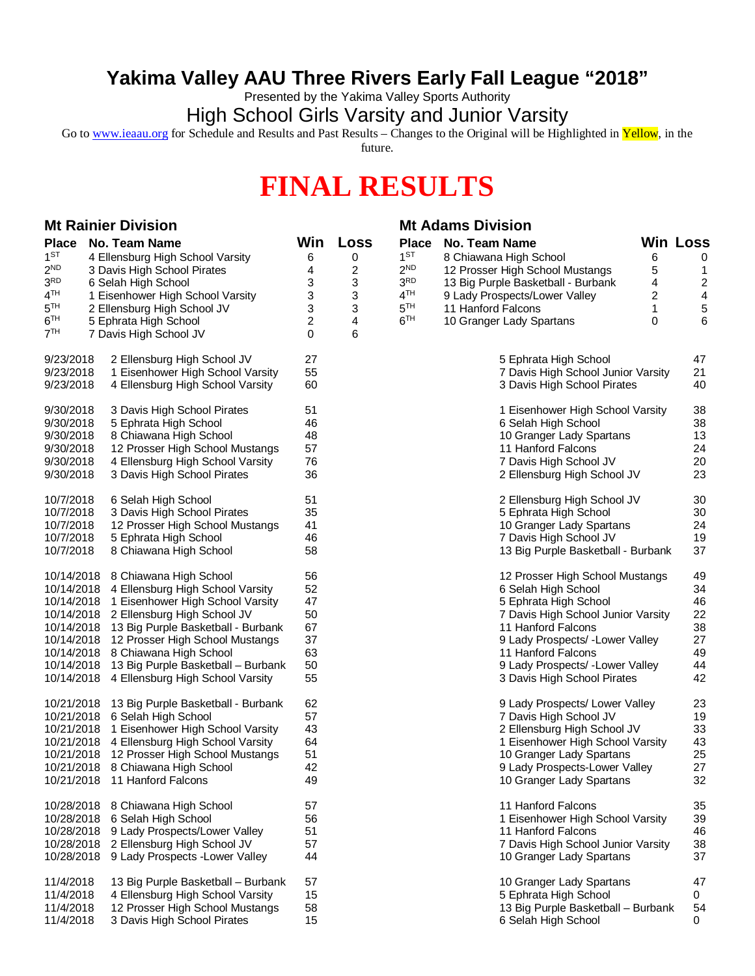## **Yakima Valley AAU Three Rivers Early Fall League "2018"**

Presented by the Yakima Valley Sports Authority

High School Girls Varsity and Junior Varsity

Go to [www.ieaau.org](http://www.ieaau.org) for Schedule and Results and Past Results – Changes to the Original will be Highlighted in Yellow, in the

future.

## **FINAL RESULTS**

| <b>Mt Rainier Division</b>                          |                                               |                |             | <b>Mt Adams Division</b> |                                    |   |                 |
|-----------------------------------------------------|-----------------------------------------------|----------------|-------------|--------------------------|------------------------------------|---|-----------------|
| <b>Place</b>                                        | No. Team Name                                 | Win            | <b>Loss</b> | <b>Place</b>             | No. Team Name                      |   | <b>Win Loss</b> |
| $1^{ST}$                                            | 4 Ellensburg High School Varsity              | 6              | 0           | 1 <sup>ST</sup>          | 8 Chiawana High School             | 6 | 0               |
| 2 <sup>ND</sup>                                     | 3 Davis High School Pirates                   | 4              | 2           | 2 <sup>ND</sup>          | 12 Prosser High School Mustangs    | 5 | 1               |
| 3 <sup>RD</sup><br>6 Selah High School              |                                               | 3              | 3           | 3 <sup>RD</sup>          | 13 Big Purple Basketball - Burbank | 4 | 2               |
| 4 <sup>TH</sup><br>1 Eisenhower High School Varsity |                                               | 3              | 3           | 4 <sup>TH</sup>          | 9 Lady Prospects/Lower Valley      | 2 | 4               |
| 5 <sup>TH</sup>                                     | 2 Ellensburg High School JV                   | 3              | 3           | 5 <sup>TH</sup>          | 11 Hanford Falcons                 | 1 | 5               |
| $6^{\mathrm{TH}}$                                   | 5 Ephrata High School                         | $\overline{c}$ | 4           | 6 <sup>TH</sup>          | 10 Granger Lady Spartans           | 0 | 6               |
| 7 <sup>TH</sup>                                     | 7 Davis High School JV                        | 0              | 6           |                          |                                    |   |                 |
| 9/23/2018                                           | 2 Ellensburg High School JV                   | 27             |             |                          | 5 Ephrata High School              |   | 47              |
| 9/23/2018                                           | 1 Eisenhower High School Varsity              | 55             |             |                          | 7 Davis High School Junior Varsity |   | 21              |
| 9/23/2018                                           | 4 Ellensburg High School Varsity              | 60             |             |                          | 3 Davis High School Pirates        |   | 40              |
| 9/30/2018                                           | 3 Davis High School Pirates                   | 51             |             |                          | 1 Eisenhower High School Varsity   |   | 38              |
| 9/30/2018                                           | 5 Ephrata High School                         | 46             |             |                          | 6 Selah High School                |   | 38              |
| 9/30/2018                                           | 8 Chiawana High School                        | 48             |             |                          | 10 Granger Lady Spartans           |   | 13              |
| 9/30/2018                                           | 12 Prosser High School Mustangs               | 57             |             |                          | 11 Hanford Falcons                 |   | 24              |
| 9/30/2018                                           | 4 Ellensburg High School Varsity              | 76             |             |                          | 7 Davis High School JV             |   | 20              |
| 9/30/2018                                           | 3 Davis High School Pirates                   | 36             |             |                          | 2 Ellensburg High School JV        |   | 23              |
| 10/7/2018                                           | 6 Selah High School                           | 51             |             |                          | 2 Ellensburg High School JV        |   | 30              |
| 10/7/2018                                           | 3 Davis High School Pirates                   | 35             |             |                          | 5 Ephrata High School              |   | 30              |
| 10/7/2018                                           | 12 Prosser High School Mustangs               | 41             |             |                          | 10 Granger Lady Spartans           |   | 24              |
| 10/7/2018                                           | 5 Ephrata High School                         | 46             |             |                          | 7 Davis High School JV             |   | 19              |
| 10/7/2018                                           | 8 Chiawana High School                        | 58             |             |                          | 13 Big Purple Basketball - Burbank |   | 37              |
| 10/14/2018                                          | 8 Chiawana High School                        | 56             |             |                          | 12 Prosser High School Mustangs    |   | 49              |
| 10/14/2018                                          | 4 Ellensburg High School Varsity              | 52             |             |                          | 6 Selah High School                |   | 34              |
| 10/14/2018                                          | 1 Eisenhower High School Varsity              | 47             |             |                          | 5 Ephrata High School              |   | 46              |
|                                                     | 10/14/2018 2 Ellensburg High School JV        | 50             |             |                          | 7 Davis High School Junior Varsity |   | 22              |
|                                                     | 10/14/2018 13 Big Purple Basketball - Burbank | 67             |             |                          | 11 Hanford Falcons                 |   | 38              |
| 10/14/2018                                          | 12 Prosser High School Mustangs               | 37             |             |                          | 9 Lady Prospects/ - Lower Valley   |   | 27              |
| 10/14/2018                                          | 8 Chiawana High School                        | 63             |             |                          | 11 Hanford Falcons                 |   | 49              |
| 10/14/2018                                          | 13 Big Purple Basketball - Burbank            | 50             |             |                          | 9 Lady Prospects/ - Lower Valley   |   | 44              |
|                                                     | 10/14/2018 4 Ellensburg High School Varsity   | 55             |             |                          | 3 Davis High School Pirates        |   | 42              |
| 10/21/2018                                          | 13 Big Purple Basketball - Burbank            | 62             |             |                          | 9 Lady Prospects/ Lower Valley     |   | 23              |
|                                                     | 10/21/2018 6 Selah High School                | 57             |             |                          | 7 Davis High School JV             |   | 19              |
| 10/21/2018                                          | 1 Eisenhower High School Varsity              | 43             |             |                          | 2 Ellensburg High School JV        |   | 33              |
| 10/21/2018                                          | 4 Ellensburg High School Varsity              | 64             |             |                          | 1 Eisenhower High School Varsity   |   | 43              |
|                                                     | 10/21/2018 12 Prosser High School Mustangs    | 51             |             |                          | 10 Granger Lady Spartans           |   | 25              |
|                                                     | 10/21/2018 8 Chiawana High School             | 42             |             |                          | 9 Lady Prospects-Lower Valley      |   | 27              |
|                                                     | 10/21/2018 11 Hanford Falcons                 | 49             |             |                          | 10 Granger Lady Spartans           |   | 32              |
|                                                     | 10/28/2018 8 Chiawana High School             | 57             |             |                          | 11 Hanford Falcons                 |   | 35              |
|                                                     | 10/28/2018 6 Selah High School                | 56             |             |                          | 1 Eisenhower High School Varsity   |   | 39              |
| 10/28/2018                                          | 9 Lady Prospects/Lower Valley                 | 51             |             |                          | 11 Hanford Falcons                 |   | 46              |
| 10/28/2018                                          | 2 Ellensburg High School JV                   | 57             |             |                          | 7 Davis High School Junior Varsity |   | 38              |
|                                                     | 10/28/2018 9 Lady Prospects - Lower Valley    | 44             |             |                          | 10 Granger Lady Spartans           |   | 37              |
| 11/4/2018                                           | 13 Big Purple Basketball - Burbank            | 57             |             |                          | 10 Granger Lady Spartans           |   | 47              |
| 11/4/2018                                           | 4 Ellensburg High School Varsity              | 15             |             |                          | 5 Ephrata High School              |   | 0               |
| 11/4/2018                                           | 12 Prosser High School Mustangs               | 58             |             |                          | 13 Big Purple Basketball - Burbank |   | 54              |
| 11/4/2018                                           | 3 Davis High School Pirates                   | 15             |             |                          | 6 Selah High School                |   | 0               |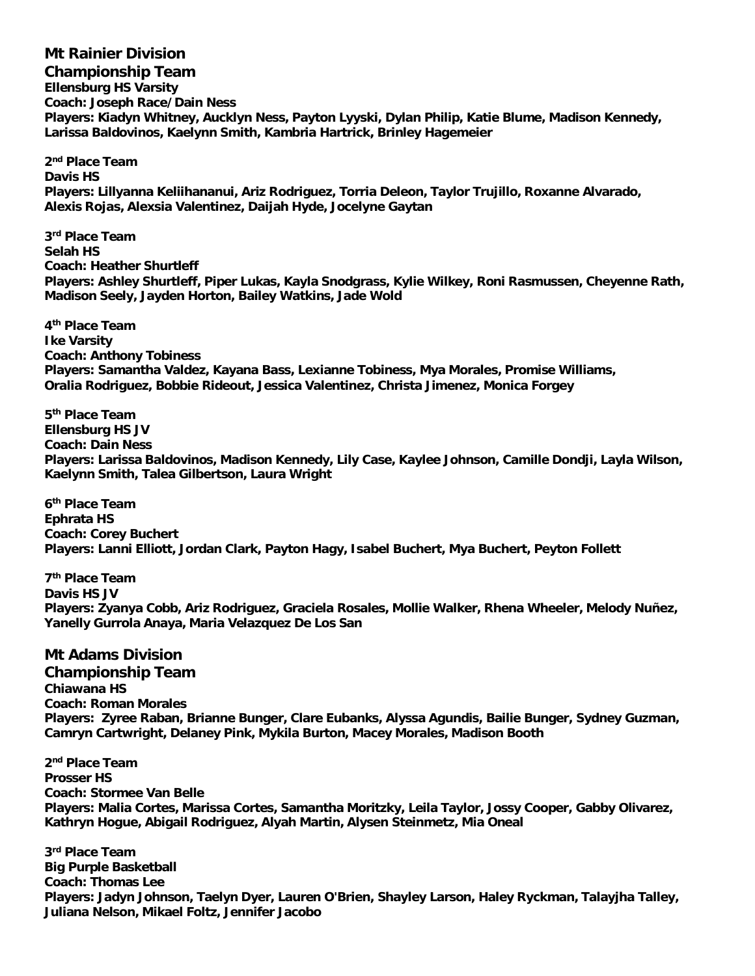**Mt Rainier Division Championship Team Ellensburg HS Varsity Coach: Joseph Race/Dain Ness Players: Kiadyn Whitney, Aucklyn Ness, Payton Lyyski, Dylan Philip, Katie Blume, Madison Kennedy, Larissa Baldovinos, Kaelynn Smith, Kambria Hartrick, Brinley Hagemeier**

**2 nd Place Team Davis HS Players: Lillyanna Keliihananui, Ariz Rodriguez, Torria Deleon, Taylor Trujillo, Roxanne Alvarado, Alexis Rojas, Alexsia Valentinez, Daijah Hyde, Jocelyne Gaytan**

**3 rd Place Team Selah HS Coach: Heather Shurtleff Players: Ashley Shurtleff, Piper Lukas, Kayla Snodgrass, Kylie Wilkey, Roni Rasmussen, Cheyenne Rath, Madison Seely, Jayden Horton, Bailey Watkins, Jade Wold**

**4 th Place Team Ike Varsity Coach: Anthony Tobiness Players: Samantha Valdez, Kayana Bass, Lexianne Tobiness, Mya Morales, Promise Williams, Oralia Rodriguez, Bobbie Rideout, Jessica Valentinez, Christa Jimenez, Monica Forgey**

**5 th Place Team Ellensburg HS JV Coach: Dain Ness Players: Larissa Baldovinos, Madison Kennedy, Lily Case, Kaylee Johnson, Camille Dondji, Layla Wilson, Kaelynn Smith, Talea Gilbertson, Laura Wright**

**6 th Place Team Ephrata HS Coach: Corey Buchert Players: Lanni Elliott, Jordan Clark, Payton Hagy, Isabel Buchert, Mya Buchert, Peyton Follett**

**7 th Place Team Davis HS JV Players: Zyanya Cobb, Ariz Rodriguez, Graciela Rosales, Mollie Walker, Rhena Wheeler, Melody Nuñez, Yanelly Gurrola Anaya, Maria Velazquez De Los San**

**Mt Adams Division Championship Team Chiawana HS Coach: Roman Morales Players: Zyree Raban, Brianne Bunger, Clare Eubanks, Alyssa Agundis, Bailie Bunger, Sydney Guzman, Camryn Cartwright, Delaney Pink, Mykila Burton, Macey Morales, Madison Booth**

**2 nd Place Team Prosser HS Coach: Stormee Van Belle Players: Malia Cortes, Marissa Cortes, Samantha Moritzky, Leila Taylor, Jossy Cooper, Gabby Olivarez, Kathryn Hogue, Abigail Rodriguez, Alyah Martin, Alysen Steinmetz, Mia Oneal**

**3 rd Place Team Big Purple Basketball Coach: Thomas Lee Players: Jadyn Johnson, Taelyn Dyer, Lauren O'Brien, Shayley Larson, Haley Ryckman, Talayjha Talley, Juliana Nelson, Mikael Foltz, Jennifer Jacobo**